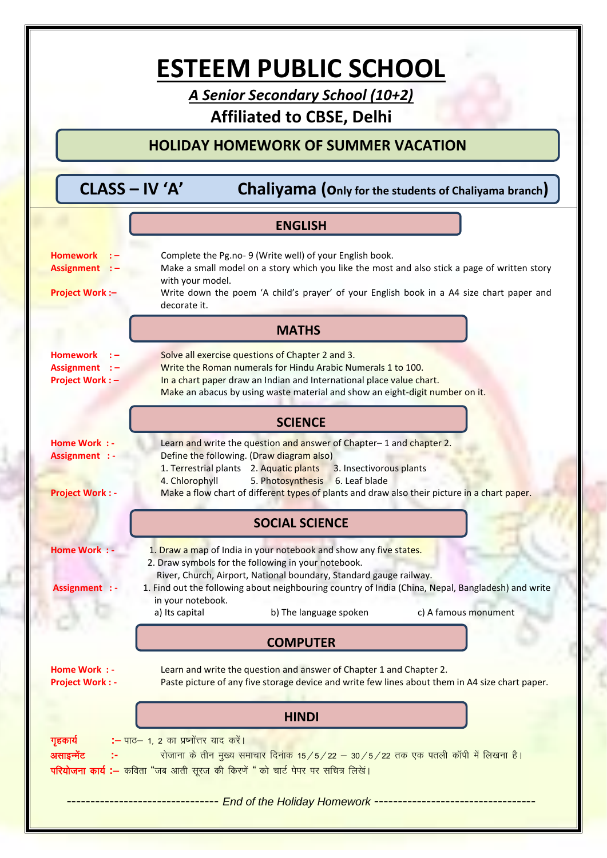